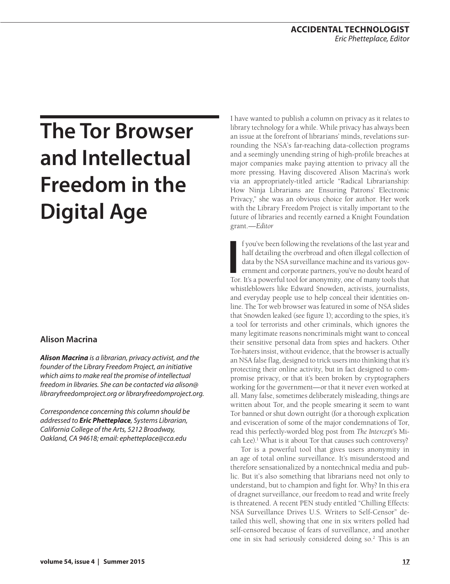# **The Tor Browser and Intellectual Freedom in the Digital Age**

## **Alison Macrina**

*Alison Macrina is a librarian, privacy activist, and the founder of the Library Freedom Project, an initiative which aims to make real the promise of intellectual freedom in libraries. She can be contacted via [alison@](mailto:alison%40libraryfreedomproject.org?subject=) [libraryfreedomproject.org](mailto:alison%40libraryfreedomproject.org?subject=) or [libraryfreedomproject.org.](http://libraryfreedomproject.org)*

*Correspondence concerning this column should be addressed to Eric Phetteplace, Systems Librarian, California College of the Arts, 5212 Broadway, Oakland, CA 94618; email: [ephetteplace@cca.edu](mailto:ephetteplace@cca.edu)*

I have wanted to publish a column on privacy as it relates to library technology for a while. While privacy has always been an issue at the forefront of librarians' minds, revelations surrounding the NSA's far-reaching data-collection programs and a seemingly unending string of high-profile breaches at major companies make paying attention to privacy all the more pressing. Having discovered Alison Macrina's work via an appropriately-titled article "Radical Librarianship: How Ninja Librarians are Ensuring Patrons' Electronic Privacy," she was an obvious choice for author. Her work with the Library Freedom Project is vitally important to the future of libraries and recently earned a Knight Foundation grant.*—Editor*

If you've been following the revelations of the last year and half detailing the overbroad and often illegal collection of data by the NSA surveillance machine and its various government and corporate partners, you've no d f you've been following the revelations of the last year and half detailing the overbroad and often illegal collection of data by the NSA surveillance machine and its various government and corporate partners, you've no doubt heard of whistleblowers like Edward Snowden, activists, journalists, and everyday people use to help conceal their identities online. The Tor web browser was featured in some of NSA slides that Snowden leaked (see figure 1); according to the spies, it's a tool for terrorists and other criminals, which ignores the many legitimate reasons noncriminals might want to conceal their sensitive personal data from spies and hackers. Other Tor-haters insist, without evidence, that the browser is actually an NSA false flag, designed to trick users into thinking that it's protecting their online activity, but in fact designed to compromise privacy, or that it's been broken by cryptographers working for the government—or that it never even worked at all. Many false, sometimes deliberately misleading, things are written about Tor, and the people smearing it seem to want Tor banned or shut down outright (for a thorough explication and evisceration of some of the major condemnations of Tor, read this perfectly-worded blog post from *The Intercept*'s Micah Lee).<sup>1</sup> What is it about Tor that causes such controversy?

Tor is a powerful tool that gives users anonymity in an age of total online surveillance. It's misunderstood and therefore sensationalized by a nontechnical media and public. But it's also something that librarians need not only to understand, but to champion and fight for. Why? In this era of dragnet surveillance, our freedom to read and write freely is threatened. A recent PEN study entitled "Chilling Effects: NSA Surveillance Drives U.S. Writers to Self-Censor" detailed this well, showing that one in six writers polled had self-censored because of fears of surveillance, and another one in six had seriously considered doing so.2 This is an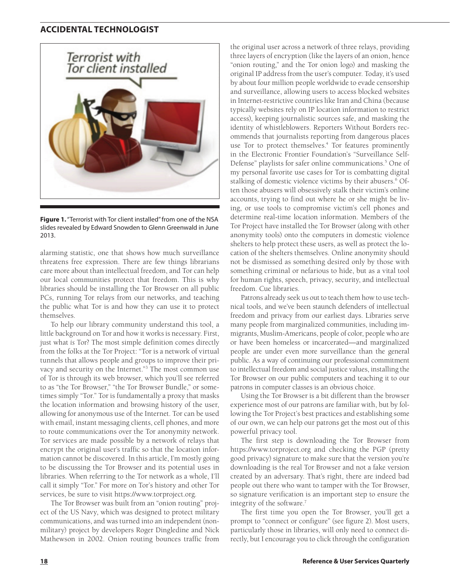### **ACCIDENTAL TECHNOLOGIST**



**Figure 1.** "Terrorist with Tor client installed" from one of the NSA slides revealed by Edward Snowden to Glenn Greenwald in June 2013.

alarming statistic, one that shows how much surveillance threatens free expression. There are few things librarians care more about than intellectual freedom, and Tor can help our local communities protect that freedom. This is why libraries should be installing the Tor Browser on all public PCs, running Tor relays from our networks, and teaching the public what Tor is and how they can use it to protect themselves.

To help our library community understand this tool, a little background on Tor and how it works is necessary. First, just what *is* Tor? The most simple definition comes directly from the folks at the Tor Project: "Tor is a network of virtual tunnels that allows people and groups to improve their privacy and security on the Internet."<sup>3</sup> The most common use of Tor is through its web browser, which you'll see referred to as "the Tor Browser," "the Tor Browser Bundle," or sometimes simply "Tor." Tor is fundamentally a proxy that masks the location information and browsing history of the user, allowing for anonymous use of the Internet. Tor can be used with email, instant messaging clients, cell phones, and more to route communications over the Tor anonymity network. Tor services are made possible by a network of relays that encrypt the original user's traffic so that the location information cannot be discovered. In this article, I'm mostly going to be discussing the Tor Browser and its potential uses in libraries. When referring to the Tor network as a whole, I'll call it simply "Tor." For more on Tor's history and other Tor services, be sure to visit https://www.torproject.org.

The Tor Browser was built from an "onion routing" project of the US Navy, which was designed to protect military communications, and was turned into an independent (nonmilitary) project by developers Roger Dingledine and Nick Mathewson in 2002. Onion routing bounces traffic from

the original user across a network of three relays, providing three layers of encryption (like the layers of an onion, hence "onion routing," and the Tor onion logo) and masking the original IP address from the user's computer. Today, it's used by about four million people worldwide to evade censorship and surveillance, allowing users to access blocked websites in Internet-restrictive countries like Iran and China (because typically websites rely on IP location information to restrict access), keeping journalistic sources safe, and masking the identity of whistleblowers. Reporters Without Borders recommends that journalists reporting from dangerous places use Tor to protect themselves.<sup>4</sup> Tor features prominently in the Electronic Frontier Foundation's "Surveillance Self-Defense" playlists for safer online communications.<sup>5</sup> One of my personal favorite use cases for Tor is combatting digital stalking of domestic violence victims by their abusers.<sup>6</sup> Often those abusers will obsessively stalk their victim's online accounts, trying to find out where he or she might be living, or use tools to compromise victim's cell phones and determine real-time location information. Members of the Tor Project have installed the Tor Browser (along with other anonymity tools) onto the computers in domestic violence shelters to help protect these users, as well as protect the location of the shelters themselves. Online anonymity should not be dismissed as something desired only by those with something criminal or nefarious to hide, but as a vital tool for human rights, speech, privacy, security, and intellectual freedom. Cue libraries.

Patrons already seek us out to teach them how to use technical tools, and we've been staunch defenders of intellectual freedom and privacy from our earliest days. Libraries serve many people from marginalized communities, including immigrants, Muslim-Americans, people of color, people who are or have been homeless or incarcerated—and marginalized people are under even more surveillance than the general public. As a way of continuing our professional commitment to intellectual freedom and social justice values, installing the Tor Browser on our public computers and teaching it to our patrons in computer classes is an obvious choice.

Using the Tor Browser is a bit different than the browser experience most of our patrons are familiar with, but by following the Tor Project's best practices and establishing some of our own, we can help our patrons get the most out of this powerful privacy tool.

The first step is downloading the Tor Browser from https://www.torproject.org and checking the PGP (pretty good privacy) signature to make sure that the version you're downloading is the real Tor Browser and not a fake version created by an adversary. That's right, there are indeed bad people out there who want to tamper with the Tor Browser, so signature verification is an important step to ensure the integrity of the software.7

The first time you open the Tor Browser, you'll get a prompt to "connect or configure" (see figure 2). Most users, particularly those in libraries, will only need to connect directly, but I encourage you to click through the configuration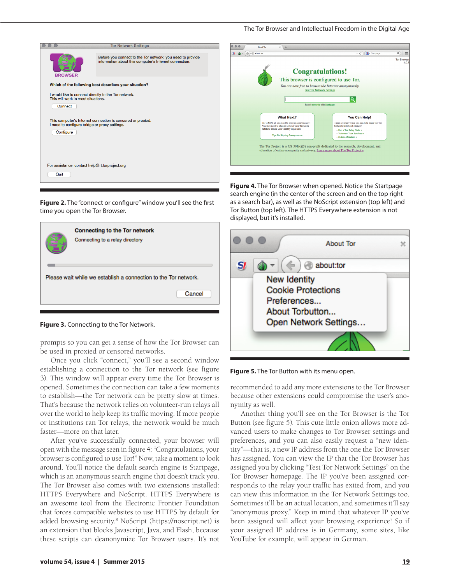

**Figure 2.** The "connect or confgure" window you'll see the frst time you open the Tor Browser.



**Figure 3.** Connecting to the Tor Network.

prompts so you can get a sense of how the Tor Browser can be used in proxied or censored networks.

Once you click "connect," you'll see a second window establishing a connection to the Tor network (see figure 3). This window will appear every time the Tor Browser is opened. Sometimes the connection can take a few moments to establish—the Tor network can be pretty slow at times. That's because the network relies on volunteer-run relays all over the world to help keep its traffic moving. If more people or institutions ran Tor relays, the network would be much faster—more on that later.

After you've successfully connected, your browser will open with the message seen in figure 4: "Congratulations, your browser is configured to use Tor!" Now, take a moment to look around. You'll notice the default search engine is Startpage, which is an anonymous search engine that doesn't track you. The Tor Browser also comes with two extensions installed: HTTPS Everywhere and NoScript. HTTPS Everywhere is an awesome tool from the Electronic Frontier Foundation that forces compatible websites to use HTTPS by default for added browsing security.<sup>8</sup> NoScript (https://noscript.net) is an extension that blocks Javascript, Java, and Flash, because these scripts can deanonymize Tor Browser users. It's not



**Figure 4.** The Tor Browser when opened. Notice the Startpage search engine (in the center of the screen and on the top right as a search bar), as well as the NoScript extension (top left) and Tor Button (top left). The HTTPS Everywhere extension is not displayed, but it's installed.



**Figure 5.** The Tor Button with its menu open.

recommended to add any more extensions to the Tor Browser because other extensions could compromise the user's anonymity as well.

Another thing you'll see on the Tor Browser is the Tor Button (see figure 5). This cute little onion allows more advanced users to make changes to Tor Browser settings and preferences, and you can also easily request a "new identity"—that is, a new IP address from the one the Tor Browser has assigned. You can view the IP that the Tor Browser has assigned you by clicking "Test Tor Network Settings" on the Tor Browser homepage. The IP you've been assigned corresponds to the relay your traffic has exited from, and you can view this information in the Tor Network Settings too. Sometimes it'll be an actual location, and sometimes it'll say "anonymous proxy." Keep in mind that whatever IP you've been assigned will affect your browsing experience! So if your assigned IP address is in Germany, some sites, like YouTube for example, will appear in German.